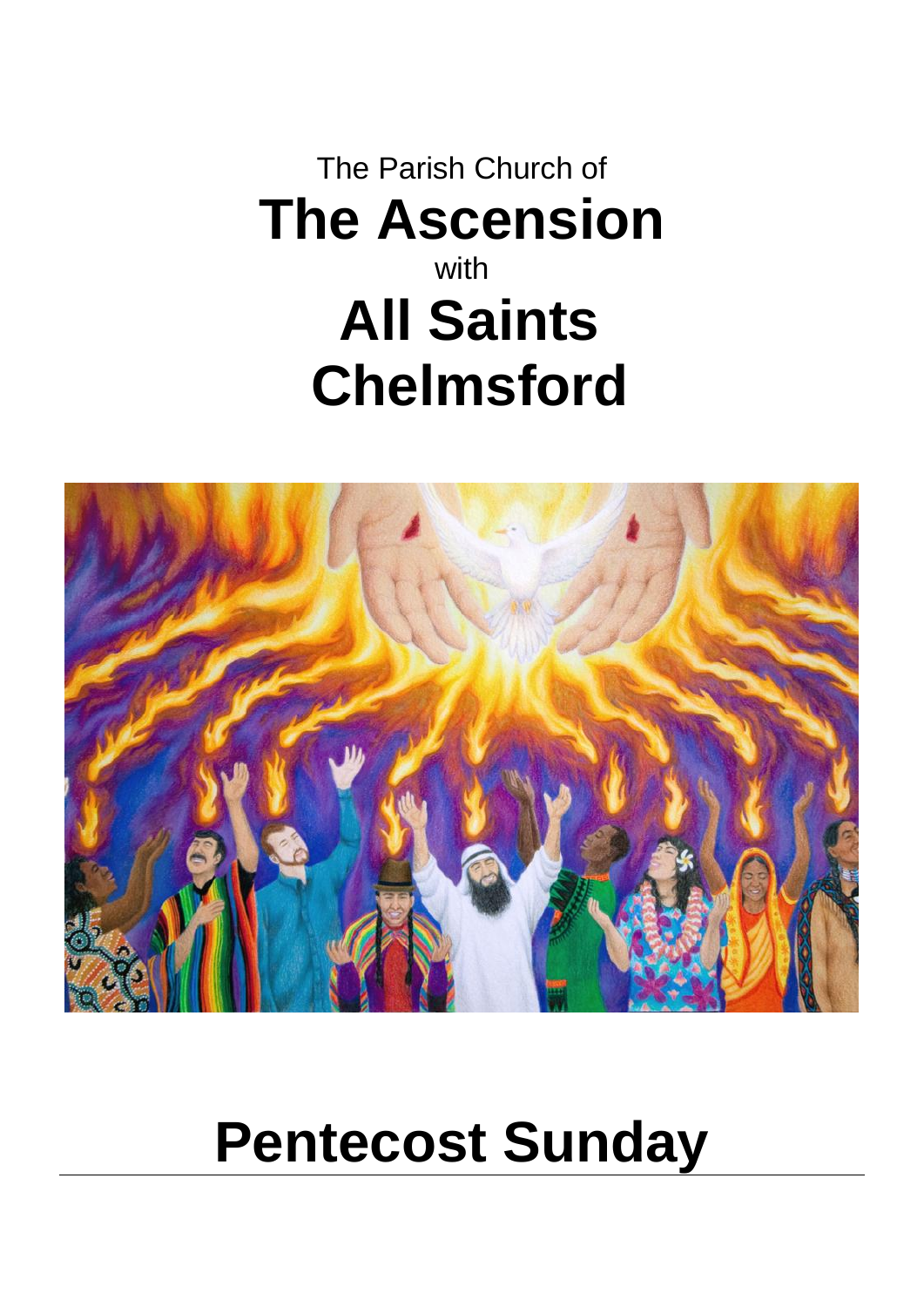# The Parish Church of **The Ascension** with **All Saints Chelmsford**



# **Pentecost Sunday**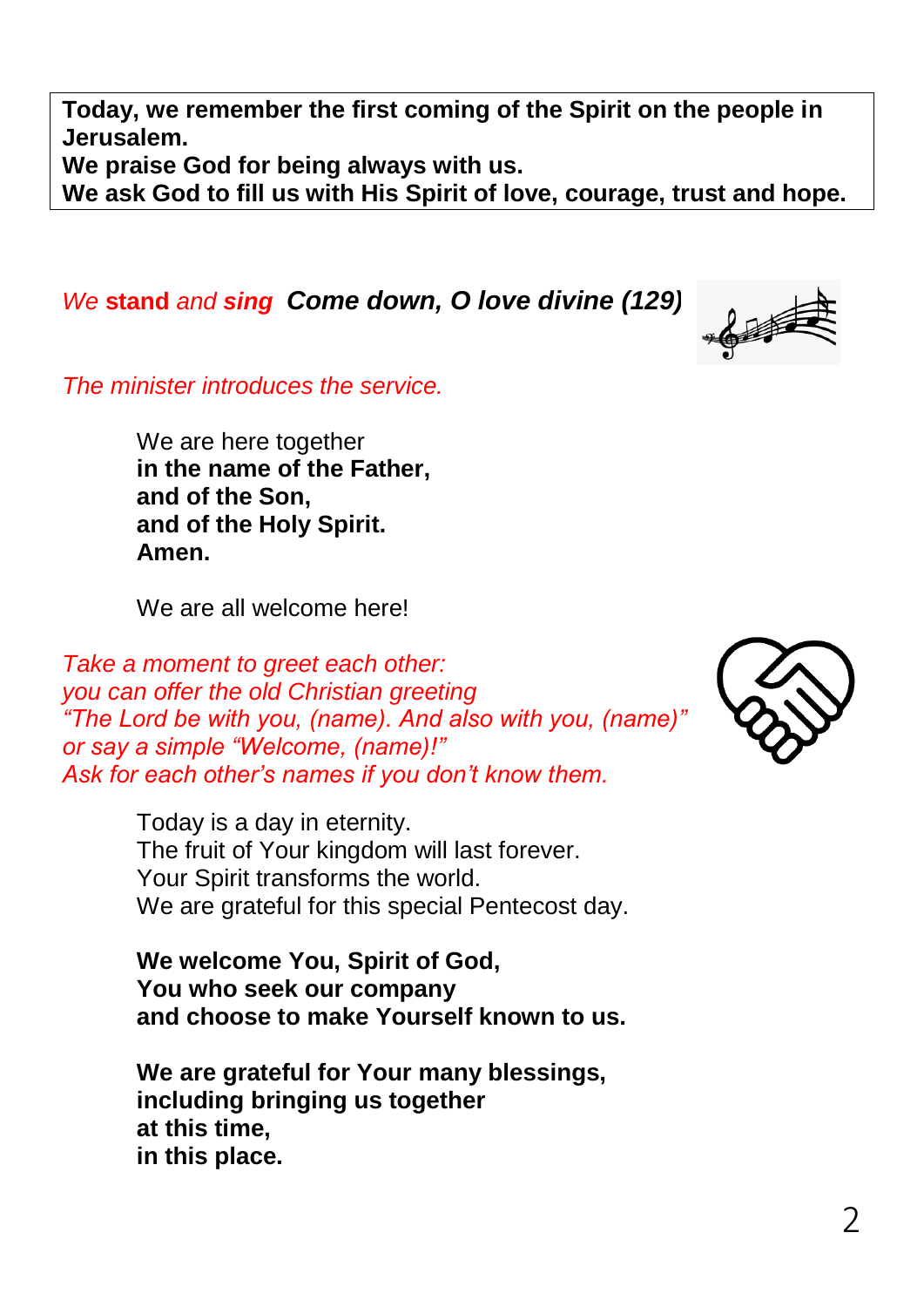**Today, we remember the first coming of the Spirit on the people in Jerusalem.** 

**We praise God for being always with us.**

**We ask God to fill us with His Spirit of love, courage, trust and hope.**

*We* **stand** *and sing Come down, O love divine (129)*

*The minister introduces the service.*

We are here together **in the name of the Father, and of the Son, and of the Holy Spirit. Amen.**

We are all welcome here!

*Take a moment to greet each other: you can offer the old Christian greeting "The Lord be with you, (name). And also with you, (name)" or say a simple "Welcome, (name)!" Ask for each other's names if you don't know them.* 

> Today is a day in eternity. The fruit of Your kingdom will last forever. Your Spirit transforms the world. We are grateful for this special Pentecost day.

> **We welcome You, Spirit of God, You who seek our company and choose to make Yourself known to us.**

**We are grateful for Your many blessings, including bringing us together at this time, in this place.**



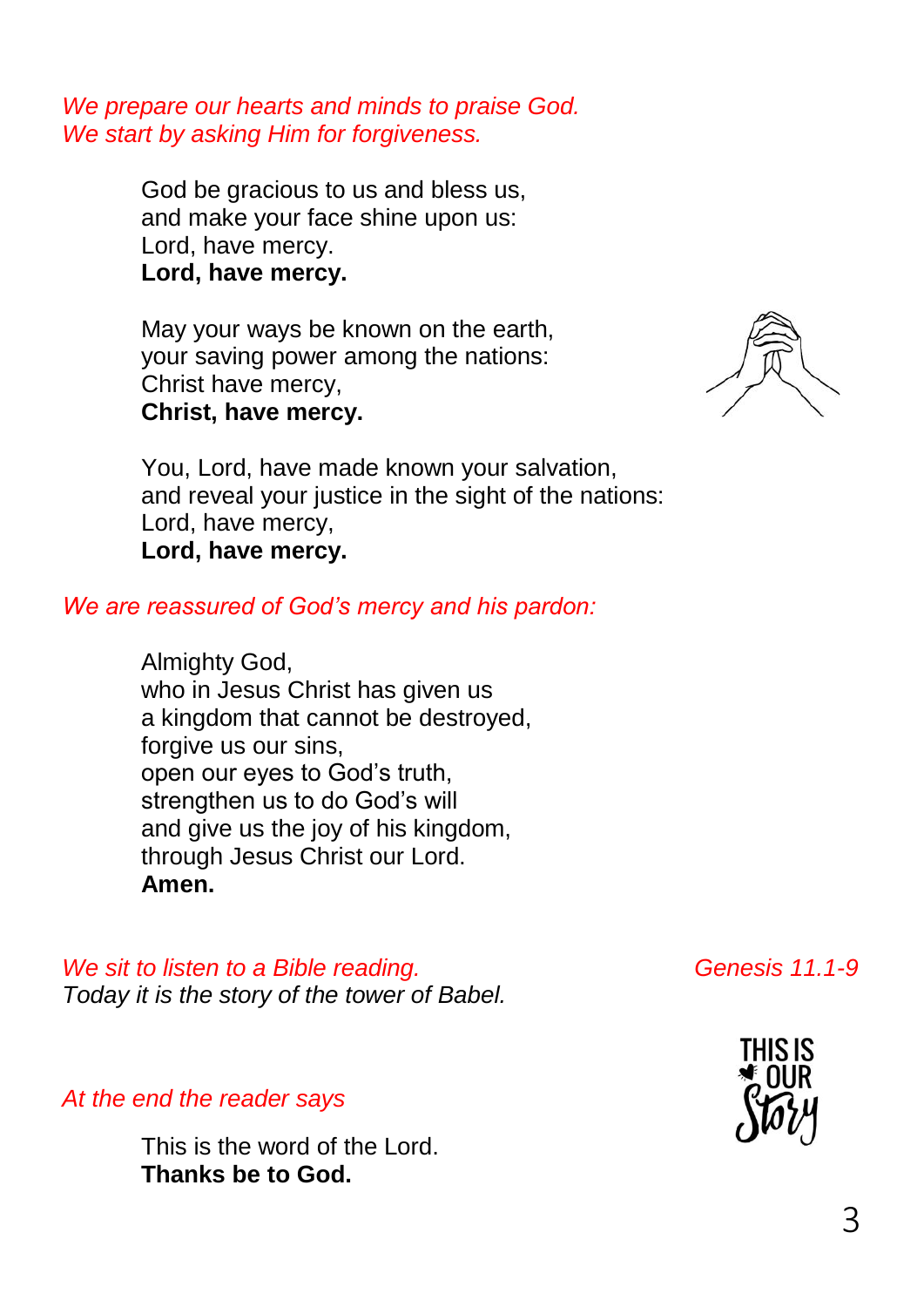*We prepare our hearts and minds to praise God. We start by asking Him for forgiveness.*

> God be gracious to us and bless us, and make your face shine upon us: Lord, have mercy. **Lord, have mercy.**

May your ways be known on the earth, your saving power among the nations: Christ have mercy, **Christ, have mercy.**



You, Lord, have made known your salvation, and reveal your justice in the sight of the nations: Lord, have mercy, **Lord, have mercy.**

### *We are reassured of God's mercy and his pardon:*

Almighty God, who in Jesus Christ has given us a kingdom that cannot be destroyed, forgive us our sins, open our eyes to God's truth, strengthen us to do God's will and give us the joy of his kingdom, through Jesus Christ our Lord. **Amen.**

*We sit to listen to a Bible reading. Genesis 11.1-9 Today it is the story of the tower of Babel.*



*At the end the reader says*

This is the word of the Lord. **Thanks be to God.**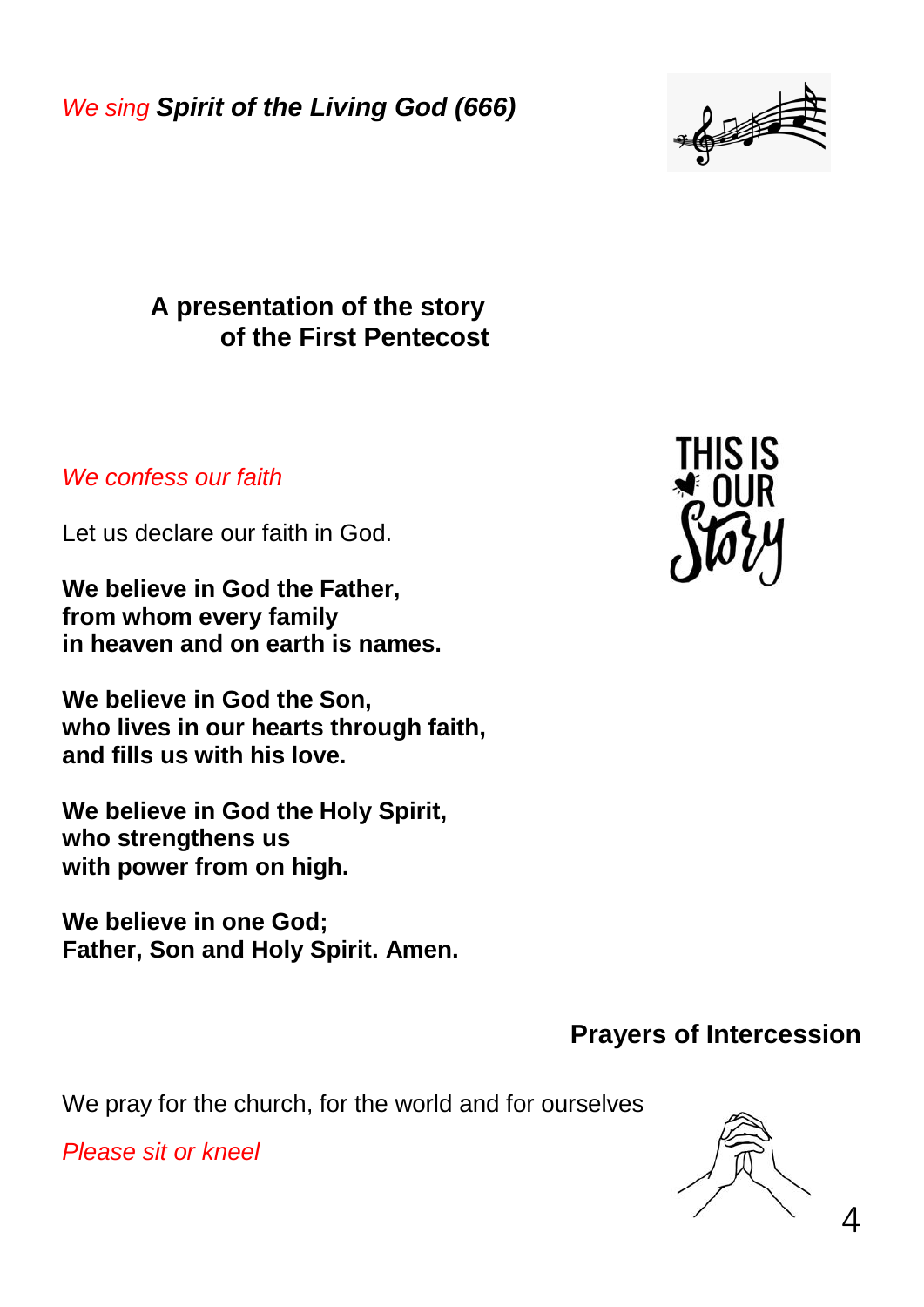*We sing Spirit of the Living God (666)*



 **A presentation of the story of the First Pentecost**

*We confess our faith*

Let us declare our faith in God.

**We believe in God the Father, from whom every family in heaven and on earth is names.**

**We believe in God the Son, who lives in our hearts through faith, and fills us with his love.**

**We believe in God the Holy Spirit, who strengthens us with power from on high.**

**We believe in one God; Father, Son and Holy Spirit. Amen.**



### **Prayers of Intercession**

We pray for the church, for the world and for ourselves.

*Please sit or kneel*



 $\varDelta$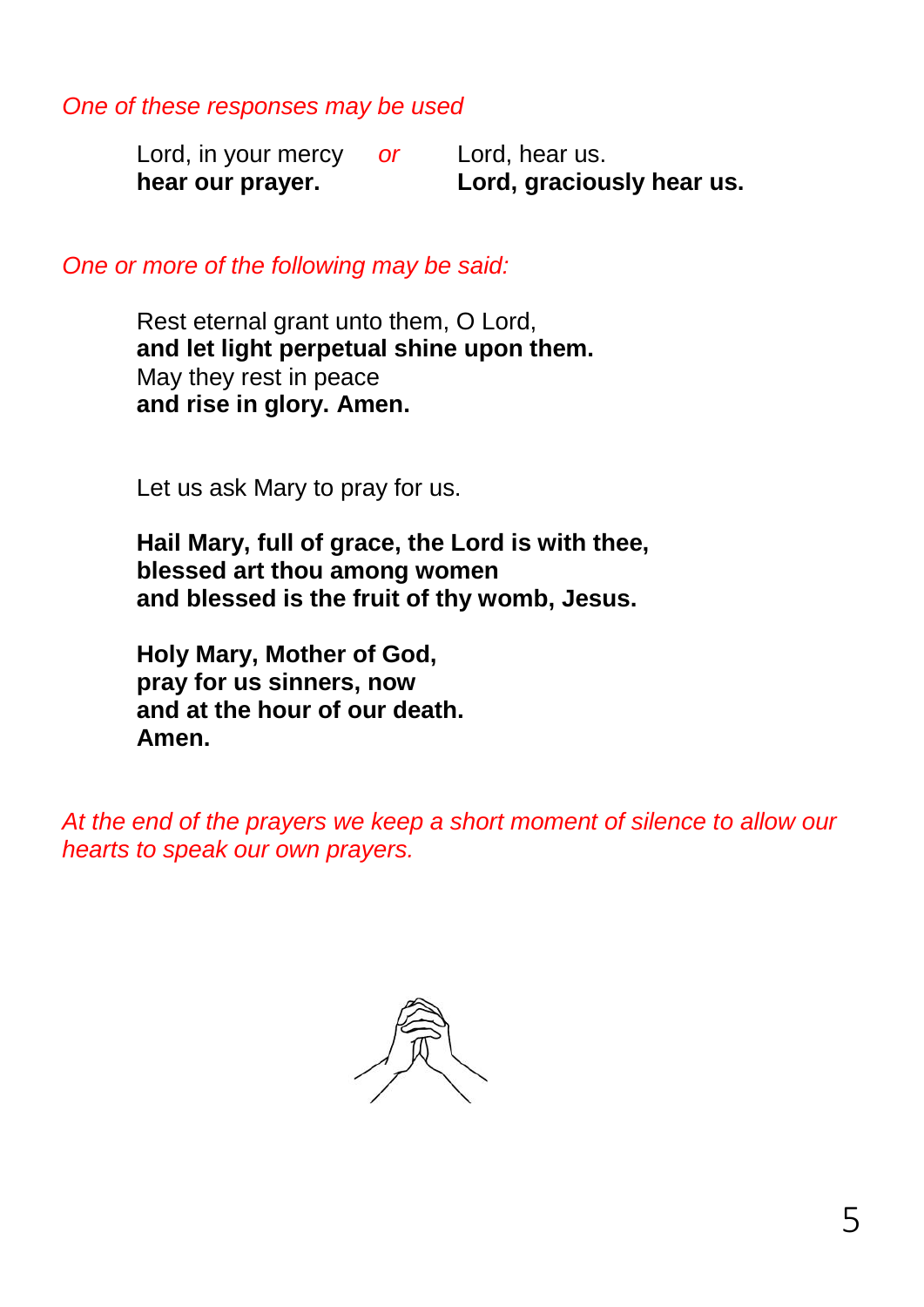*One of these responses may be used*

Lord, in your mercy *or* Lord, hear us. **hear our prayer. Lord, graciously hear us.**

*One or more of the following may be said:*

Rest eternal grant unto them, O Lord, **and let light perpetual shine upon them.** May they rest in peace **and rise in glory. Amen.**

Let us ask Mary to pray for us.

**Hail Mary, full of grace, the Lord is with thee, blessed art thou among women and blessed is the fruit of thy womb, Jesus.**

**Holy Mary, Mother of God, pray for us sinners, now and at the hour of our death. Amen.**

*At the end of the prayers we keep a short moment of silence to allow our hearts to speak our own prayers.* 

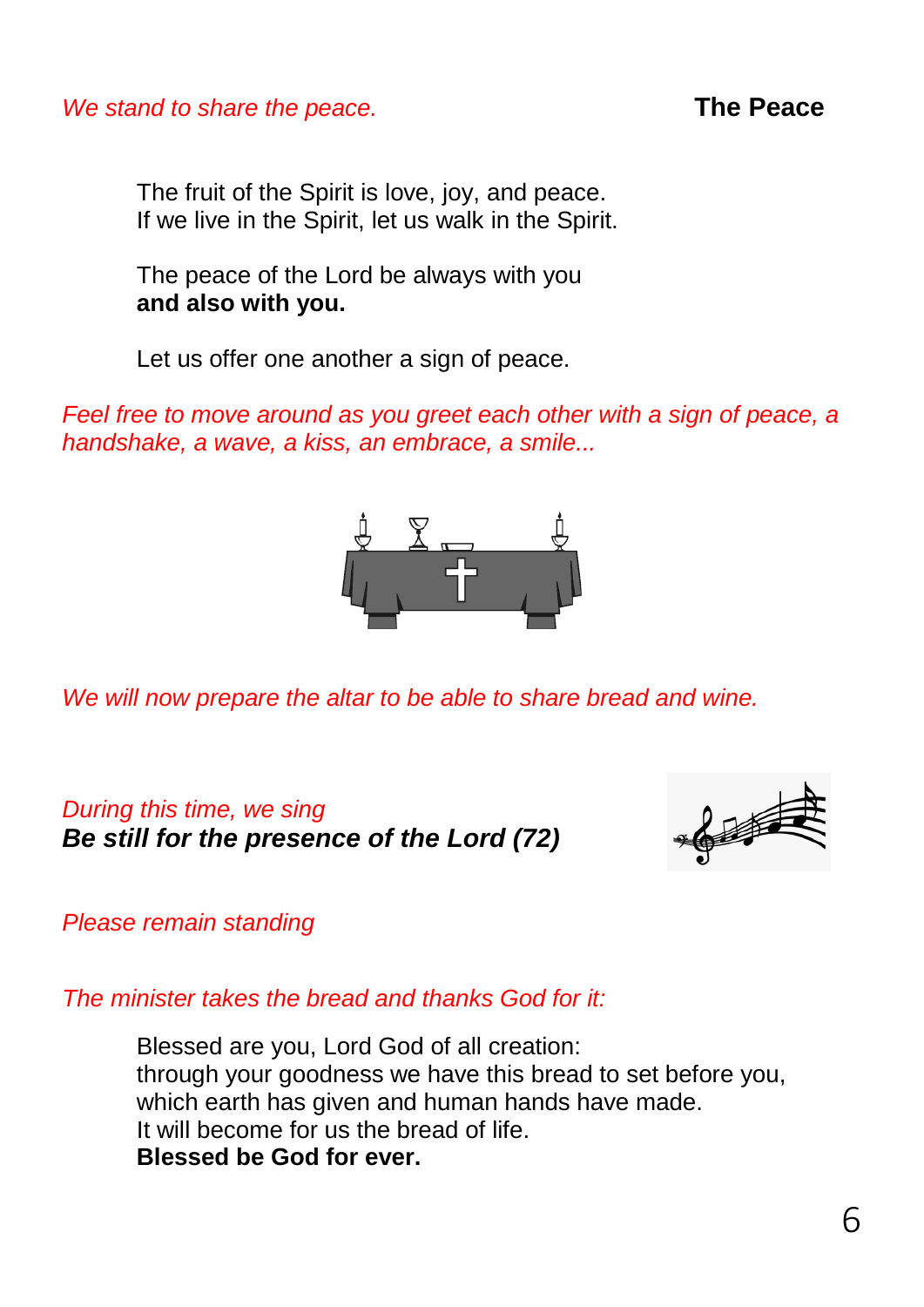#### *We stand to share the peace.* **The Peace**

The fruit of the Spirit is love, joy, and peace. If we live in the Spirit, let us walk in the Spirit.

The peace of the Lord be always with you **and also with you.**

Let us offer one another a sign of peace.

*Feel free to move around as you greet each other with a sign of peace, a handshake, a wave, a kiss, an embrace, a smile...*



*We will now prepare the altar to be able to share bread and wine.*

#### *During this time, we sing Be still for the presence of the Lord (72)*



*Please remain standing*

*The minister takes the bread and thanks God for it:*

Blessed are you, Lord God of all creation: through your goodness we have this bread to set before you, which earth has given and human hands have made. It will become for us the bread of life. **Blessed be God for ever.**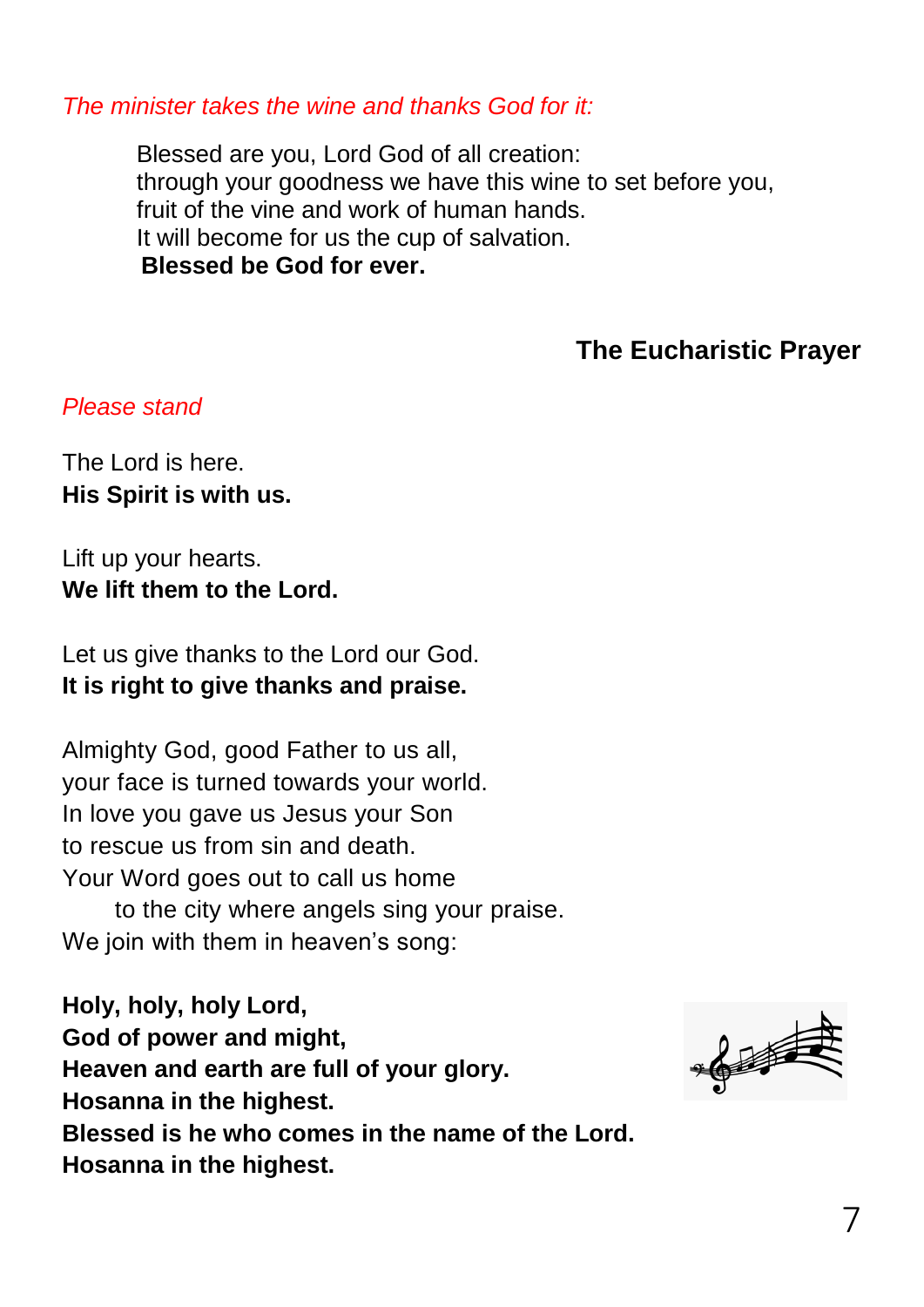*The minister takes the wine and thanks God for it:*

Blessed are you, Lord God of all creation: through your goodness we have this wine to set before you, fruit of the vine and work of human hands. It will become for us the cup of salvation. **Blessed be God for ever.**

**The Eucharistic Prayer**

#### *Please stand*

The Lord is here. **His Spirit is with us.**

Lift up your hearts. **We lift them to the Lord.**

Let us give thanks to the Lord our God. **It is right to give thanks and praise.**

Almighty God, good Father to us all, your face is turned towards your world. In love you gave us Jesus your Son to rescue us from sin and death. Your Word goes out to call us home to the city where angels sing your praise.

We join with them in heaven's song:

**Holy, holy, holy Lord, God of power and might, Heaven and earth are full of your glory. Hosanna in the highest. Blessed is he who comes in the name of the Lord. Hosanna in the highest.**

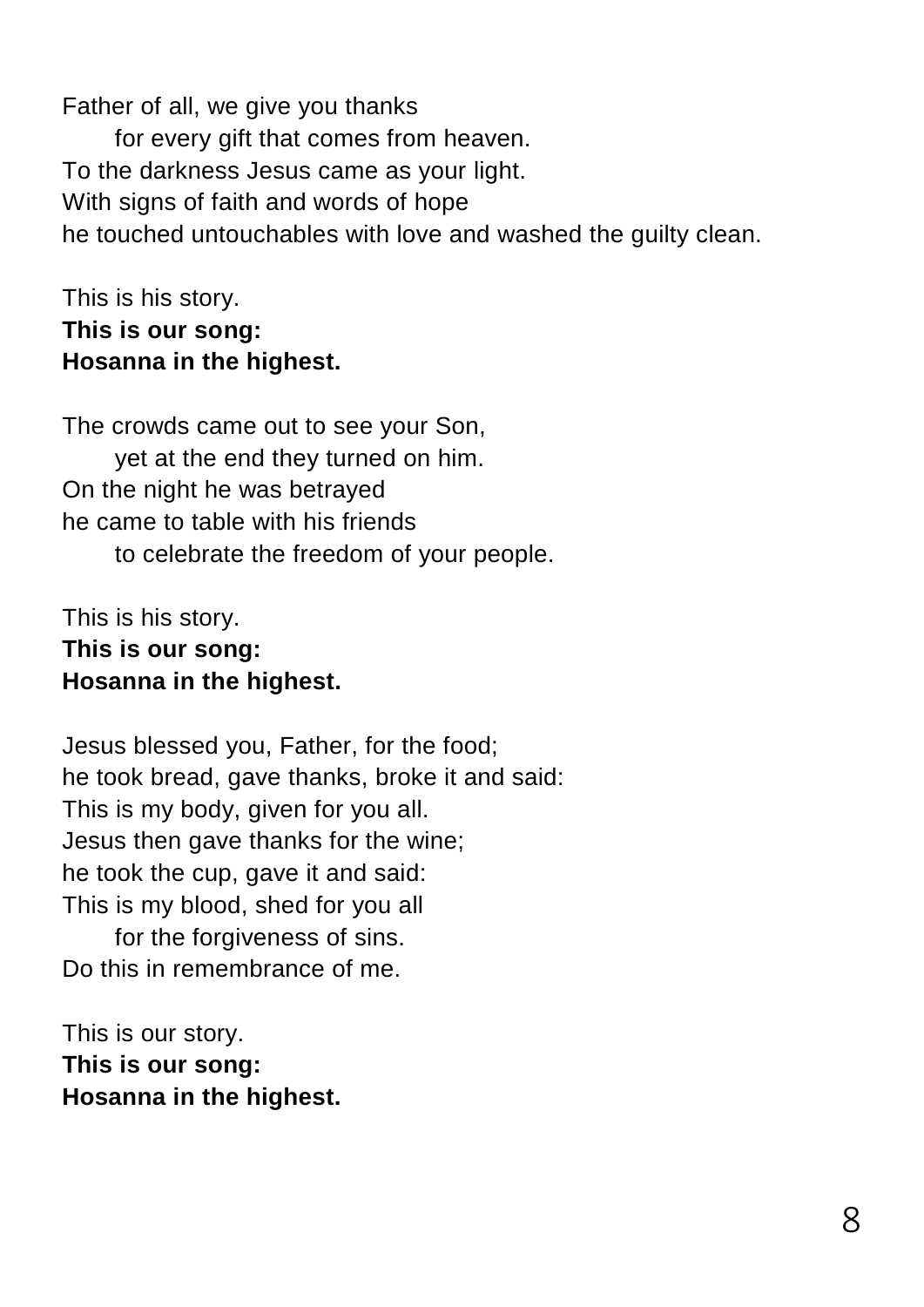Father of all, we give you thanks for every gift that comes from heaven. To the darkness Jesus came as your light. With signs of faith and words of hope he touched untouchables with love and washed the guilty clean.

### This is his story. **This is our song: Hosanna in the highest.**

The crowds came out to see your Son, yet at the end they turned on him. On the night he was betrayed he came to table with his friends to celebrate the freedom of your people.

This is his story. **This is our song: Hosanna in the highest.**

Jesus blessed you, Father, for the food; he took bread, gave thanks, broke it and said: This is my body, given for you all. Jesus then gave thanks for the wine; he took the cup, gave it and said: This is my blood, shed for you all for the forgiveness of sins. Do this in remembrance of me.

This is our story. **This is our song: Hosanna in the highest.**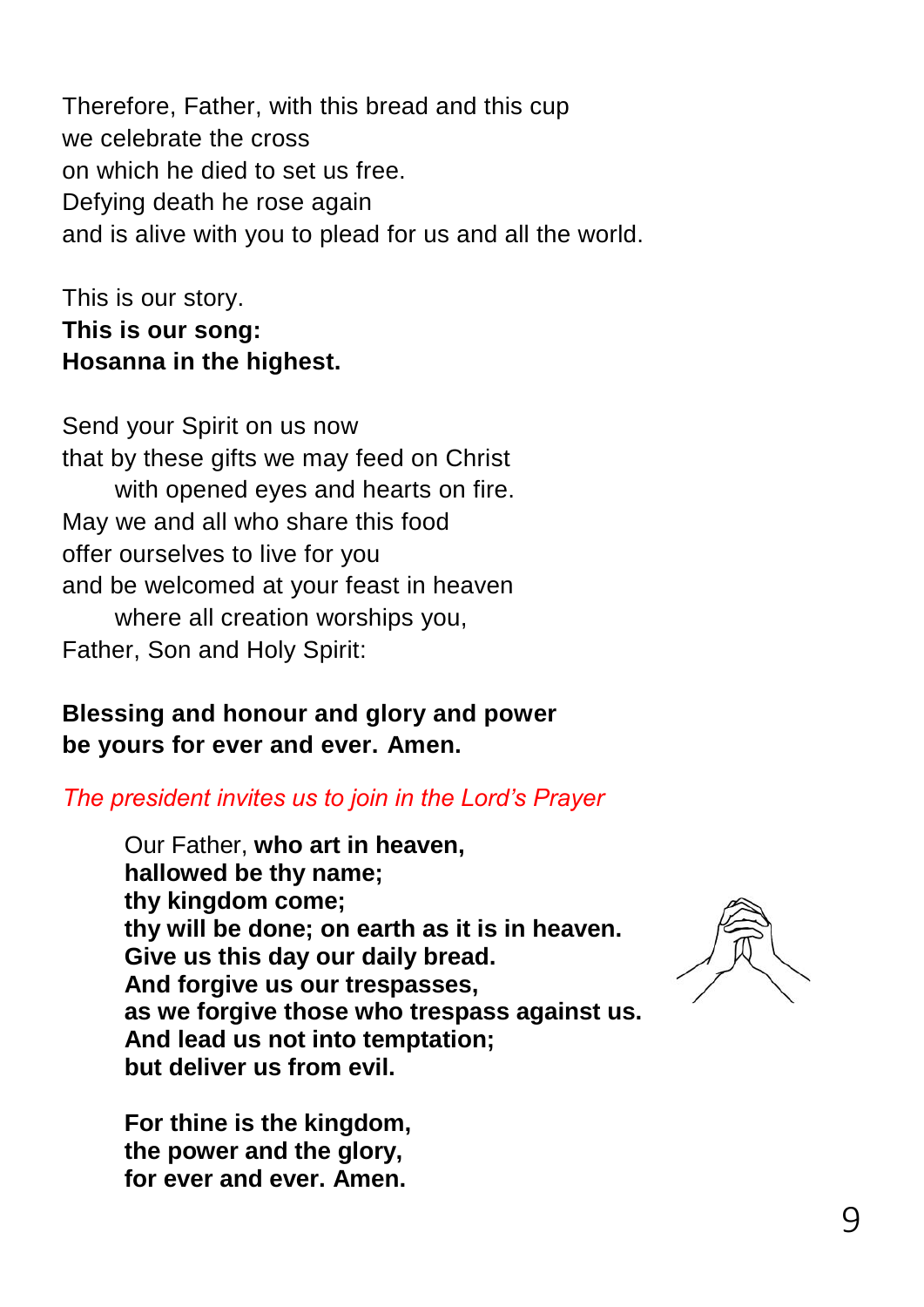Therefore, Father, with this bread and this cup we celebrate the cross on which he died to set us free. Defying death he rose again and is alive with you to plead for us and all the world.

### This is our story. **This is our song: Hosanna in the highest.**

Send your Spirit on us now that by these gifts we may feed on Christ with opened eyes and hearts on fire. May we and all who share this food offer ourselves to live for you and be welcomed at your feast in heaven where all creation worships you, Father, Son and Holy Spirit:

# **Blessing and honour and glory and power be yours for ever and ever. Amen.**

### *The president invites us to join in the Lord's Prayer*

Our Father, **who art in heaven, hallowed be thy name; thy kingdom come; thy will be done; on earth as it is in heaven. Give us this day our daily bread. And forgive us our trespasses, as we forgive those who trespass against us. And lead us not into temptation; but deliver us from evil.**

**For thine is the kingdom, the power and the glory, for ever and ever. Amen.**

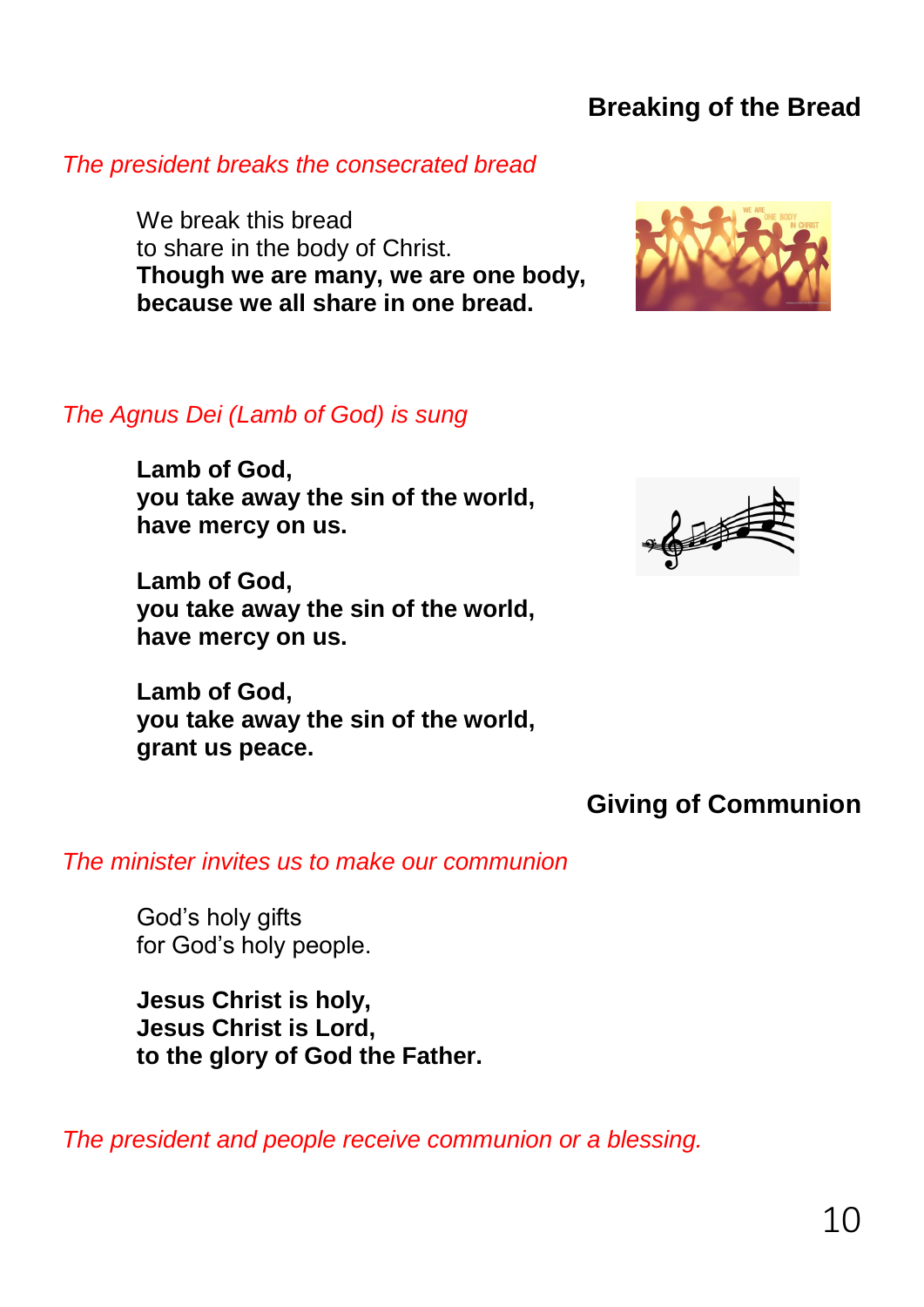# **Breaking of the Bread**

#### *The president breaks the consecrated bread*

We break this bread to share in the body of Christ. **Though we are many, we are one body, because we all share in one bread.**



#### *The Agnus Dei (Lamb of God) is sung*

**Lamb of God, you take away the sin of the world, have mercy on us.**

**Lamb of God, you take away the sin of the world, have mercy on us.**

**Lamb of God, you take away the sin of the world, grant us peace.**



# **Giving of Communion**

#### *The minister invites us to make our communion*

God's holy gifts for God's holy people.

**Jesus Christ is holy, Jesus Christ is Lord, to the glory of God the Father.**

*The president and people receive communion or a blessing.*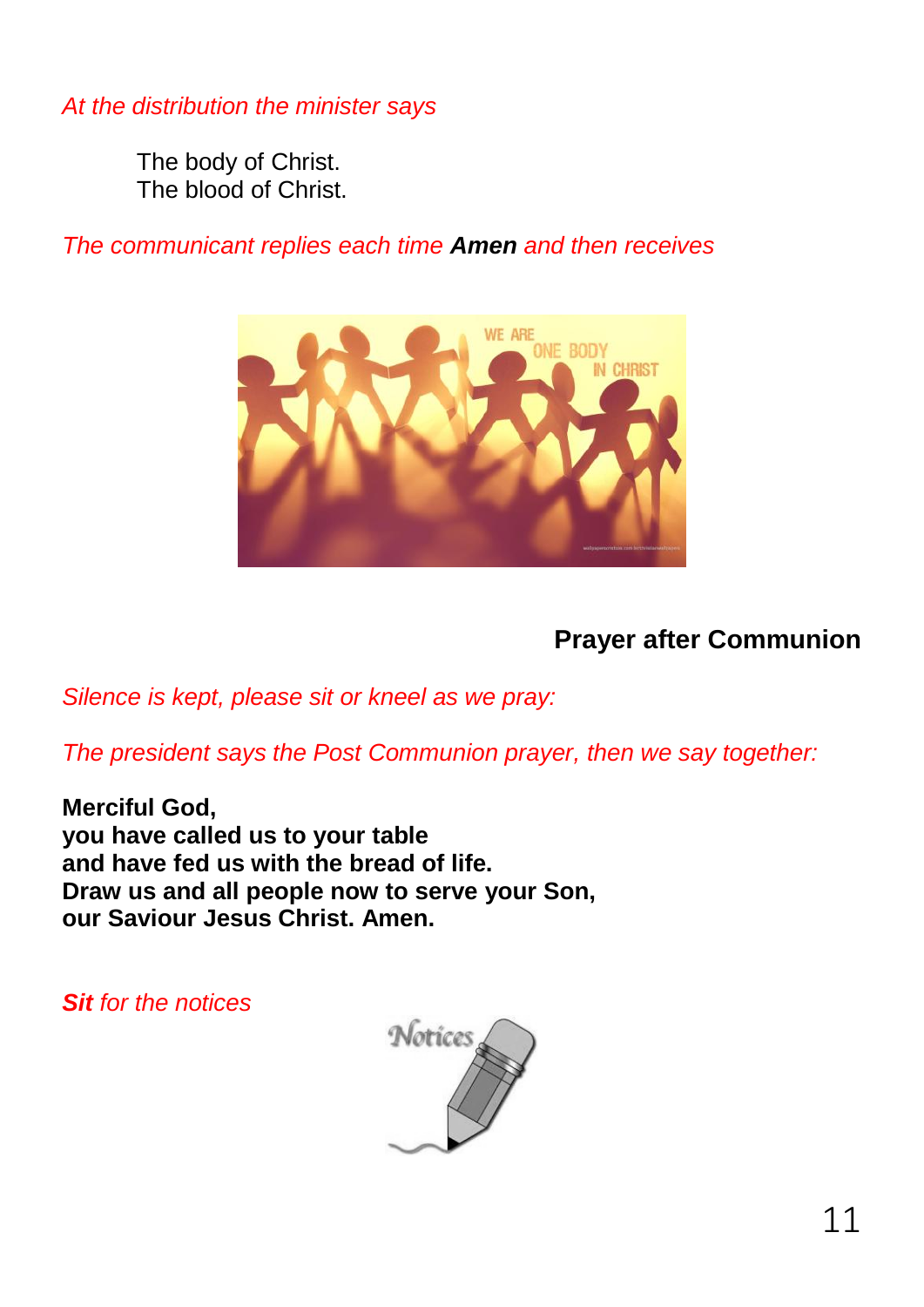*At the distribution the minister says*

The body of Christ. The blood of Christ.

*The communicant replies each time Amen and then receives*



# **Prayer after Communion**

*Silence is kept, please sit or kneel as we pray:*

*The president says the Post Communion prayer, then we say together:*

**Merciful God, you have called us to your table and have fed us with the bread of life. Draw us and all people now to serve your Son, our Saviour Jesus Christ. Amen.**

*Sit for the notices*